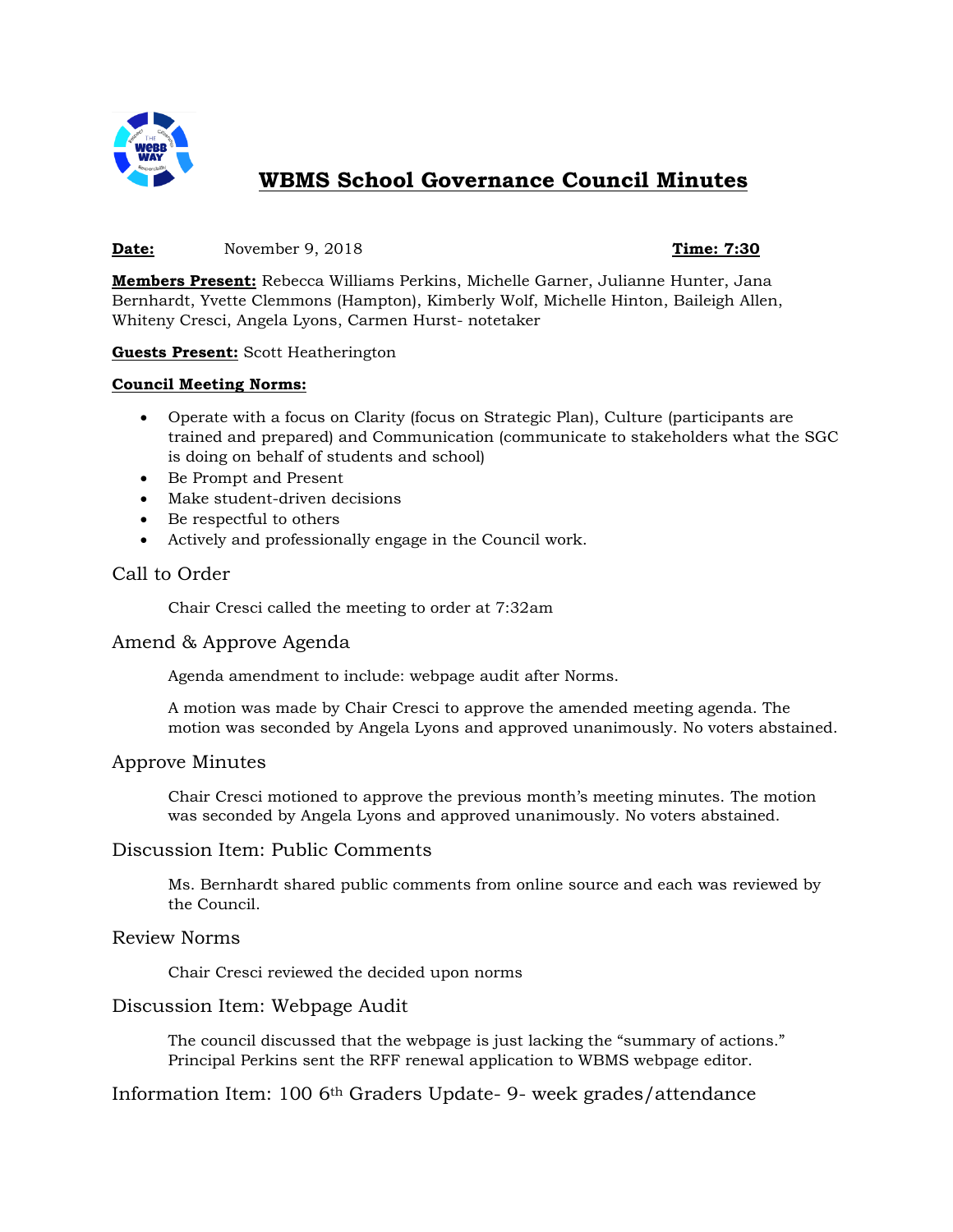

# **WBMS School Governance Council Minutes**

#### **Date:** November 9, 2018 **Time: 7:30**

**Members Present:** Rebecca Williams Perkins, Michelle Garner, Julianne Hunter, Jana Bernhardt, Yvette Clemmons (Hampton), Kimberly Wolf, Michelle Hinton, Baileigh Allen, Whiteny Cresci, Angela Lyons, Carmen Hurst- notetaker

#### **Guests Present:** Scott Heatherington

#### **Council Meeting Norms:**

- Operate with a focus on Clarity (focus on Strategic Plan), Culture (participants are trained and prepared) and Communication (communicate to stakeholders what the SGC is doing on behalf of students and school)
- Be Prompt and Present
- Make student-driven decisions
- Be respectful to others
- Actively and professionally engage in the Council work.

### Call to Order

Chair Cresci called the meeting to order at 7:32am

### Amend & Approve Agenda

Agenda amendment to include: webpage audit after Norms.

A motion was made by Chair Cresci to approve the amended meeting agenda. The motion was seconded by Angela Lyons and approved unanimously. No voters abstained.

### Approve Minutes

Chair Cresci motioned to approve the previous month's meeting minutes. The motion was seconded by Angela Lyons and approved unanimously. No voters abstained.

### Discussion Item: Public Comments

Ms. Bernhardt shared public comments from online source and each was reviewed by the Council.

### Review Norms

Chair Cresci reviewed the decided upon norms

### Discussion Item: Webpage Audit

The council discussed that the webpage is just lacking the "summary of actions." Principal Perkins sent the RFF renewal application to WBMS webpage editor.

### Information Item: 100 6th Graders Update- 9- week grades/attendance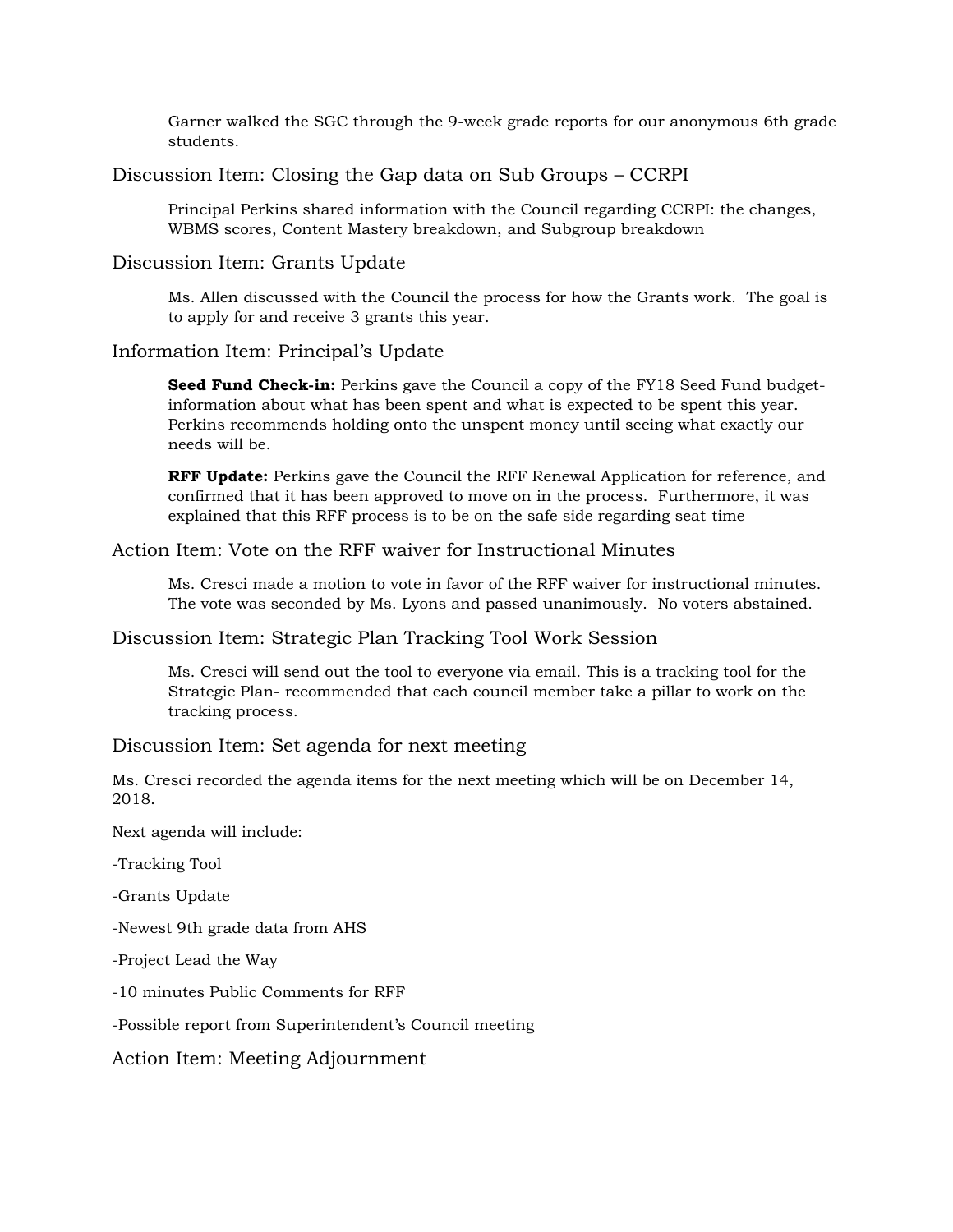Garner walked the SGC through the 9-week grade reports for our anonymous 6th grade students.

# Discussion Item: Closing the Gap data on Sub Groups – CCRPI

Principal Perkins shared information with the Council regarding CCRPI: the changes, WBMS scores, Content Mastery breakdown, and Subgroup breakdown

# Discussion Item: Grants Update

Ms. Allen discussed with the Council the process for how the Grants work. The goal is to apply for and receive 3 grants this year.

# Information Item: Principal's Update

**Seed Fund Check-in:** Perkins gave the Council a copy of the FY18 Seed Fund budgetinformation about what has been spent and what is expected to be spent this year. Perkins recommends holding onto the unspent money until seeing what exactly our needs will be.

**RFF Update:** Perkins gave the Council the RFF Renewal Application for reference, and confirmed that it has been approved to move on in the process. Furthermore, it was explained that this RFF process is to be on the safe side regarding seat time

# Action Item: Vote on the RFF waiver for Instructional Minutes

Ms. Cresci made a motion to vote in favor of the RFF waiver for instructional minutes. The vote was seconded by Ms. Lyons and passed unanimously. No voters abstained.

### Discussion Item: Strategic Plan Tracking Tool Work Session

Ms. Cresci will send out the tool to everyone via email. This is a tracking tool for the Strategic Plan- recommended that each council member take a pillar to work on the tracking process.

### Discussion Item: Set agenda for next meeting

Ms. Cresci recorded the agenda items for the next meeting which will be on December 14, 2018.

Next agenda will include:

-Tracking Tool

-Grants Update

-Newest 9th grade data from AHS

-Project Lead the Way

-10 minutes Public Comments for RFF

-Possible report from Superintendent's Council meeting

Action Item: Meeting Adjournment